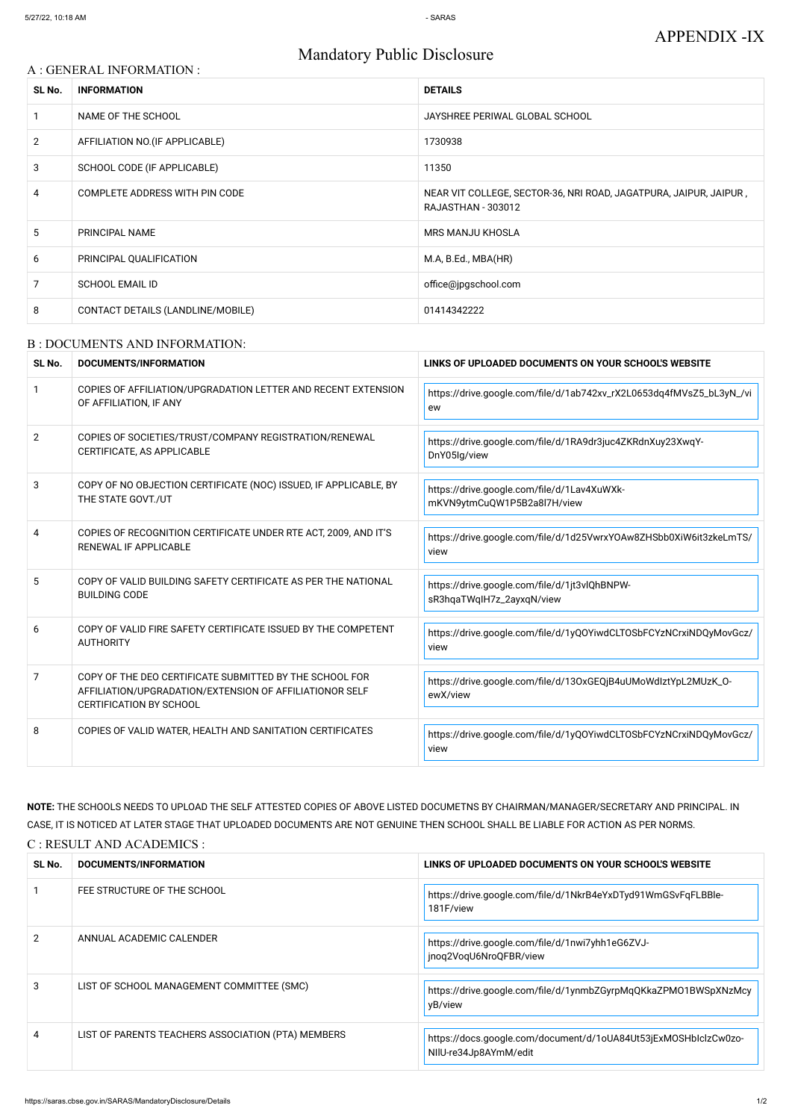# Mandatory Public Disclosure

### A : GENERAL INFORMATION :

| SL No.         | <b>INFORMATION</b>                | <b>DETAILS</b>                                                                                 |
|----------------|-----------------------------------|------------------------------------------------------------------------------------------------|
|                | NAME OF THE SCHOOL                | JAYSHREE PERIWAL GLOBAL SCHOOL                                                                 |
| $\overline{2}$ | AFFILIATION NO. (IF APPLICABLE)   | 1730938                                                                                        |
| 3              | SCHOOL CODE (IF APPLICABLE)       | 11350                                                                                          |
| 4              | COMPLETE ADDRESS WITH PIN CODE    | NEAR VIT COLLEGE, SECTOR-36, NRI ROAD, JAGATPURA, JAIPUR, JAIPUR,<br><b>RAJASTHAN - 303012</b> |
| 5              | <b>PRINCIPAL NAME</b>             | <b>MRS MANJU KHOSLA</b>                                                                        |
| 6              | PRINCIPAL QUALIFICATION           | M.A, B.Ed., MBA(HR)                                                                            |
| 7              | <b>SCHOOL EMAIL ID</b>            | office@jpgschool.com                                                                           |
| 8              | CONTACT DETAILS (LANDLINE/MOBILE) | 01414342222                                                                                    |

#### B : DOCUMENTS AND INFORMATION:

| SL No.         | DOCUMENTS/INFORMATION                                                                                                                                | LINKS OF UPLOADED DOCUMENTS ON YOUR SCHOOL'S WEBSITE                       |  |
|----------------|------------------------------------------------------------------------------------------------------------------------------------------------------|----------------------------------------------------------------------------|--|
|                | COPIES OF AFFILIATION/UPGRADATION LETTER AND RECENT EXTENSION<br>OF AFFILIATION, IF ANY                                                              | https://drive.google.com/file/d/1ab742xv_rX2L0653dq4fMVsZ5_bL3yN_/vi<br>ew |  |
| $\overline{2}$ | COPIES OF SOCIETIES/TRUST/COMPANY REGISTRATION/RENEWAL<br>CERTIFICATE, AS APPLICABLE                                                                 | https://drive.google.com/file/d/1RA9dr3juc4ZKRdnXuy23XwqY-<br>DnY05lg/view |  |
| 3              | COPY OF NO OBJECTION CERTIFICATE (NOC) ISSUED, IF APPLICABLE, BY<br>THE STATE GOVT./UT                                                               | https://drive.google.com/file/d/1Lav4XuWXk-<br>mKVN9ytmCuQW1P5B2a8l7H/view |  |
| 4              | COPIES OF RECOGNITION CERTIFICATE UNDER RTE ACT, 2009, AND IT'S<br>RENEWAL IF APPLICABLE                                                             | https://drive.google.com/file/d/1d25VwrxYOAw8ZHSbb0XiW6it3zkeLmTS/<br>view |  |
| .5             | COPY OF VALID BUILDING SAFETY CERTIFICATE AS PER THE NATIONAL<br><b>BUILDING CODE</b>                                                                | https://drive.google.com/file/d/1jt3vlQhBNPW-<br>sR3hqaTWqIH7z_2ayxqN/view |  |
| 6              | COPY OF VALID FIRE SAFETY CERTIFICATE ISSUED BY THE COMPETENT<br><b>AUTHORITY</b>                                                                    | https://drive.google.com/file/d/1yQOYiwdCLTOSbFCYzNCrxiNDQyMovGcz/<br>view |  |
| 7              | COPY OF THE DEO CERTIFICATE SUBMITTED BY THE SCHOOL FOR<br>AFFILIATION/UPGRADATION/EXTENSION OF AFFILIATIONOR SELF<br><b>CERTIFICATION BY SCHOOL</b> | https://drive.google.com/file/d/130xGEQjB4uUMoWdlztYpL2MUzK_0-<br>ewX/view |  |
| 8              | COPIES OF VALID WATER, HEALTH AND SANITATION CERTIFICATES                                                                                            | https://drive.google.com/file/d/1yQOYiwdCLTOSbFCYzNCrxiNDQyMovGcz/<br>view |  |

**NOTE:** THE SCHOOLS NEEDS TO UPLOAD THE SELF ATTESTED COPIES OF ABOVE LISTED DOCUMETNS BY CHAIRMAN/MANAGER/SECRETARY AND PRINCIPAL. IN CASE, IT IS NOTICED AT LATER STAGE THAT UPLOADED DOCUMENTS ARE NOT GENUINE THEN SCHOOL SHALL BE LIABLE FOR ACTION AS PER NORMS. C : RESULT AND ACADEMICS :

| SL No. | DOCUMENTS/INFORMATION                              | LINKS OF UPLOADED DOCUMENTS ON YOUR SCHOOL'S WEBSITE                                     |
|--------|----------------------------------------------------|------------------------------------------------------------------------------------------|
|        | FEE STRUCTURE OF THE SCHOOL                        | https://drive.google.com/file/d/1NkrB4eYxDTyd91WmGSvFqFLBBle-<br>181F/view               |
| 2      | ANNUAL ACADEMIC CALENDER                           | https://drive.google.com/file/d/1nwi7yhh1eG6ZVJ-<br>jnoq2VoqU6NroQFBR/view               |
| 3      | LIST OF SCHOOL MANAGEMENT COMMITTEE (SMC)          | https://drive.google.com/file/d/1ynmbZGyrpMqQKkaZPM01BWSpXNzMcy<br>yB/view               |
| 4      | LIST OF PARENTS TEACHERS ASSOCIATION (PTA) MEMBERS | https://docs.google.com/document/d/1oUA84Ut53jExMOSHblclzCw0zo-<br>NIIU-re34Jp8AYmM/edit |